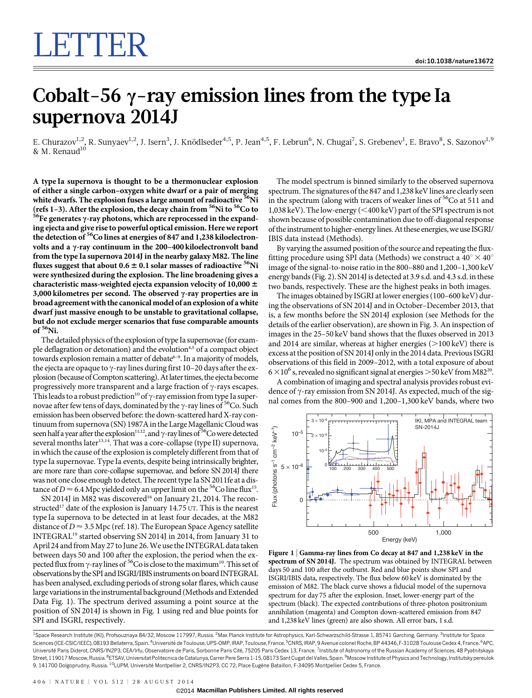# Cobalt-56  $\gamma$ -ray emission lines from the type Ia supernova 2014J

E. Churazov $^{1,2}$ , R. Sunyaev $^{1,2}$ , J. Isern $^3$ , J. Knödlseder $^{4,5}$ , P. Jean $^{4,5}$ , F. Lebrun $^6$ , N. Chugai $^7$ , S. Grebenev $^1$ , E. Bravo $^8$ , S. Sazonov $^{1,9}$ & M. Renaud $^{10}$ 

A type Ia supernova is thought to be a thermonuclear explosion of either a single carbon–oxygen white dwarf or a pair of merging white dwarfs. The explosion fuses a large amount of radioactive  ${}^{56}$ Ni (refs 1–3). After the explosion, the decay chain from  ${}^{56}$ Ni to  ${}^{56}$ Co to  $e^{36}$ Fe generates  $\gamma$ -ray photons, which are reprocessed in the expanding ejecta and give rise to powerful optical emission. Here we report the detection of <sup>56</sup>Co lines at energies of 847 and 1,238 kiloelectronvolts and a  $\gamma$ -ray continuum in the 200–400 kiloelectronvolt band from the type Ia supernova 2014J in the nearby galaxy M82. The line fluxes suggest that about  $0.6 \pm 0.1$  solar masses of radioactive <sup>56</sup>Ni were synthesized during the explosion. The line broadening gives a characteristic mass-weighted ejecta expansion velocity of 10,000  $\pm$ 3,000 kilometres per second. The observed  $\gamma$ -ray properties are in broad agreement with the canonical model of an explosion of a white dwarf just massive enough to be unstable to gravitational collapse, but do not exclude merger scenarios that fuse comparable amounts of <sup>56</sup>Ni.

The detailed physics of the explosion of type Ia supernovae (for example deflagration or detonation) and the evolution<sup>4,5</sup> of a compact object towards explosion remain a matter of debate<sup>6-9</sup>. In a majority of models, the ejecta are opaque to  $\gamma$ -ray lines during first 10–20 days after the explosion (because of Compton scattering). At later times, the ejecta become progressively more transparent and a large fraction of  $\gamma$ -rays escapes. This leads to a robust prediction<sup>10</sup> of  $\gamma$ -ray emission from type Ia supernovae after few tens of days, dominated by the  $\gamma$ -ray lines of <sup>56</sup>Co. Such emission has been observed before: the down-scattered hard X-ray continuum from supernova (SN) 1987A in the Large Magellanic Cloud was seen half a year after the explosion<sup>11,12</sup>, and  $\gamma$ -ray lines of <sup>56</sup>Co were detected several months later<sup>13,14</sup>. That was a core-collapse (type II) supernova, in which the cause of the explosion is completely different from that of type Ia supernovae. Type Ia events, despite being intrinsically brighter, are more rare than core-collapse supernovae, and before SN 2014J there was not one close enough to detect. The recent type Ia SN 2011fe at a distance of  $D \approx 6.4$  Mpc yielded only an upper limit on the <sup>56</sup>Co line flux<sup>15</sup>.

SN 2014J in M82 was discovered<sup>16</sup> on January 21, 2014. The reconstructed<sup>17</sup> date of the explosion is January 14.75 UT. This is the nearest type Ia supernova to be detected in at least four decades, at the M82 distance of  $D \approx 3.5$  Mpc (ref. 18). The European Space Agency satellite INTEGRAL19 started observing SN 2014J in 2014, from January 31 to April 24 and from May 27 to June 26. We use the INTEGRAL data taken between days 50 and 100 after the explosion, the period when the expected flux from  $\gamma$ -ray lines of <sup>56</sup>Co is close to the maximum<sup>10</sup>. This set of observations by the SPI and ISGRI/IBIS instruments on board INTEGRAL has been analysed, excluding periods of strong solar flares, which cause large variations in the instrumental background (Methods and Extended Data Fig. 1). The spectrum derived assuming a point source at the position of SN 2014J is shown in Fig. 1 using red and blue points for SPI and ISGRI, respectively.

The model spectrum is binned similarly to the observed supernova spectrum. The signatures of the 847 and 1,238 keV lines are clearly seen in the spectrum (along with tracers of weaker lines of <sup>56</sup>Co at 511 and 1,038 keV). The low-energy (<400 keV) part of the SPI spectrum is not shown because of possible contamination due to off-diagonal response of the instrument to higher-energylines.At these energies,we use ISGRI/ IBIS data instead (Methods).

By varying the assumed position of the source and repeating the fluxfitting procedure using SPI data (Methods) we construct a  $40^{\circ} \times 40^{\circ}$ image of the signal-to-noise ratio in the 800–880 and 1,200–1,300 keV energy bands (Fig. 2). SN 2014J is detected at 3.9 s.d. and 4.3 s.d. in these two bands, respectively. These are the highest peaks in both images.

The images obtained by ISGRI at lower energies (100–600 keV) during the observations of SN 2014J and in October–December 2013, that is, a few months before the SN 2014J explosion (see Methods for the details of the earlier observation), are shown in Fig. 3. An inspection of images in the 25–50 keV band shows that the fluxes observed in 2013 and 2014 are similar, whereas at higher energies  $(>100 \,\text{keV})$  there is excess at the position of SN 2014J only in the 2014 data. Previous ISGRI observations of this field in 2009–2012, with a total exposure of about  $6 \times 10^6$  s, revealed no significant signal at energies  $> 50$  keV from M82<sup>20</sup>.

A combination of imaging and spectral analysis provides robust evidence of  $\gamma$ -ray emission from SN 2014J. As expected, much of the signal comes from the 800–900 and 1,200–1,300 keV bands, where two



Figure 1 <sup>|</sup> Gamma-ray lines from Co decay at 847 and 1,238 keV in the spectrum of SN 2014J. The spectrum was obtained by INTEGRAL between days 50 and 100 after the outburst. Red and blue points show SPI and ISGRI/IBIS data, respectively. The flux below 60 keV is dominated by the emission of M82. The black curve shows a fiducial model of the supernova spectrum for day 75 after the explosion. Inset, lower-energy part of the spectrum (black). The expected contributions of three-photon positronium annihilation (magenta) and Compton down-scattered emission from 847 and 1,238 keV lines (green) are also shown. All error bars, 1 s.d.

<sup>1</sup>Space Research Institute (IKI), Profsouznaya 84/32, Moscow 117997, Russia. <sup>2</sup>Max Planck Institute for Astrophysics, Karl-Schwarzschild-Strasse 1, 85741 Garching, Germany. <sup>3</sup>Institute for Space Sciences (ICE-CSIC/IEEC), 08193 Bellaterra, Spain. <sup>4</sup>Université de Toulouse, UPS-OMP, IRAP, Toulouse, France. <sup>5</sup>CNRS, IRAP, 9 Avenue colonel Roche, BP 44346, F-31028 Toulouse Cedex 4, France. <sup>6</sup>APC Université Paris Diderot, CNRS/IN2P3, CEA/Irfu, Observatoire de Paris, Sorbonne Paris Cité, 75205 Paris Cedex 13, France. <sup>7</sup>Institute of Astronomy of the Russian Academy of Sciences, 48 Pyatnitskaya Street, 119017 Moscow, Russia. <sup>8</sup>ETSAV, Universitat Politecnica de Catalunya, Carrer Pere Serra 1-15, 08173 Sant Cugat del Valles, Spain. <sup>9</sup>Moscow Institute of Physics and Technology, Institutsky pereulok 9, 141700 Dolgoprudny, Russia. <sup>10</sup>LUPM, Université Montpellier 2, CNRS/IN2P3, CC 72, Place Eugène Bataillon, F-34095 Montpellier Cedex 5, France.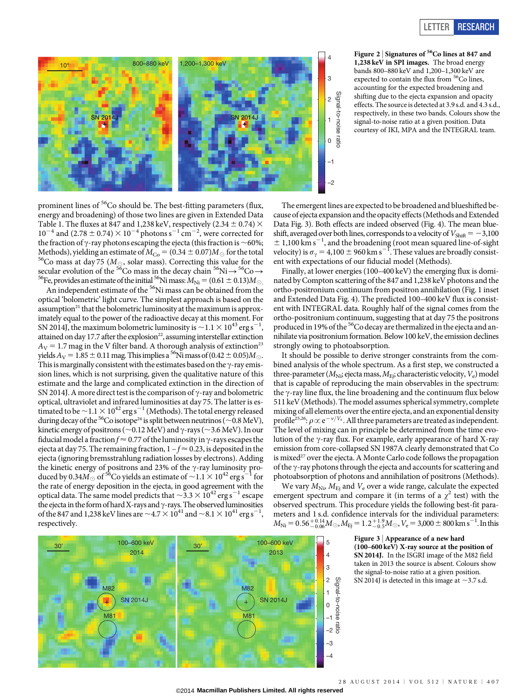



prominent lines of <sup>56</sup>Co should be. The best-fitting parameters (flux, energy and broadening) of those two lines are given in Extended Data Table 1. The fluxes at 847 and 1,238 keV, respectively (2.34  $\pm$  0.74)  $\times$  $10^{-4}$  and (2.78  $\pm$  0.74)  $\times$  10<sup>-4</sup> photons s<sup>-1</sup> cm<sup>-2</sup>, were corrected for the fraction of  $\gamma$ -ray photons escaping the ejecta (this fraction is  $\sim$  60%;<br>Methods), yielding an estimate of  $M_{\text{Co}} = (0.34 \pm 0.07) M_{\odot}$  for the total <sup>56</sup>Co mass at day 75 ( $M_{\odot}$ , solar mass). Correcting this value for the secular evolution of the <sup>56</sup>Co mass in the decay chain <sup>56</sup>Ni  $\rightarrow$  <sup>56</sup>Co  $\rightarrow$ <sup>56</sup>Fe, provides an estimate of the initial <sup>56</sup>Ni mass:  $M_{\text{Ni}} = (0.61 \pm 0.13)M_{\odot}$ .

An independent estimate of the <sup>56</sup>Ni mass can be obtained from the optical 'bolometric' light curve. The simplest approach is based on the assumption<sup>21</sup> that the bolometric luminosity at the maximum is approximately equal to the power of the radioactive decay at this moment. For SN 2014J, the maximum bolometric luminosity is  ${\sim}1.1 \times 10^{43}\, {\rm erg\, s}^{-1},$ attained on day 17.7 after the explosion<sup>22</sup>, assuming interstellar extinction  $A_V = 1.7$  mag in the V filter band. A thorough analysis of extinction<sup>23</sup> yields  $A_V = 1.85 \pm 0.11$  mag. This implies a <sup>56</sup>Ni mass of (0.42  $\pm$  0.05) $M_{\odot}$ . This is marginally consistent with the estimates based on the  $\gamma$ -ray emission lines, which is not surprising, given the qualitative nature of this estimate and the large and complicated extinction in the direction of SN 2014J. A more direct test is the comparison of  $\gamma$ -ray and bolometric optical, ultraviolet and infrared luminosities at day 75. The latter is estimated to be  $\sim$  1.1  $\times$  10<sup>42</sup> erg s<sup>-1</sup> (Methods). The total energy released during decay of the <sup>56</sup>Co isotope<sup>24</sup> is split between neutrinos ( $\sim 0.8$  MeV), kinetic energy of positrons ( $\sim$  0.12 MeV) and  $\gamma$ -rays ( $\sim$  3.6 MeV). In our fiducial model a fraction  $f \approx 0.77$  of the luminosity in  $\gamma$ -rays escapes the ejecta at day 75. The remaining fraction,  $1 - f \approx 0.23$ , is deposited in the ejecta (ignoring bremsstrahlung radiation losses by electrons). Adding the kinetic energy of positrons and 23% of the  $\gamma$ -ray luminosity produced by 0.34 $M_{\odot}$  of <sup>56</sup>Co yields an estimate of  $\sim$  1.1  $\times$  10<sup>42</sup> erg s<sup>-1</sup> for the rate of energy deposition in the ejecta, in good agreement with the optical data. The same model predicts that  $\sim$ 3.3  $\times$  10<sup>42</sup> erg s<sup>-1</sup> escape the ejecta in the form of hard X-rays and  $\gamma$ -rays. The observed luminosities of the 847 and 1,238 keV lines are  ${\sim}$  4.7  ${\times}$   $10^{41}$  and  ${\sim}$  8.1  ${\times}$   $10^{41}$  erg s $^{-1},$ respectively.



The emergent lines are expected to be broadened and blueshifted because of ejecta expansion and the opacity effects (Methods and Extended Data Fig. 3). Both effects are indeed observed (Fig. 4). The mean blueshift, averaged over both lines, corresponds to a velocity of  $V_{\text{Shift}} = -3,100$  $\pm$  1,100 km s<sup>-1</sup>, and the broadening (root mean squared line-of-sight velocity) is  $\sigma_{\gamma} = 4{,}100 \pm 960 \text{ km s}^{-1}$ . These values are broadly consistent with expectations of our fiducial model (Methods).

Finally, at lower energies (100–400 keV) the emerging flux is dominated by Compton scattering of the 847 and 1,238 keV photons and the ortho-positronium continuum from positron annihilation (Fig. 1 inset and Extended Data Fig. 4). The predicted 100–400 keV flux is consistent with INTEGRAL data. Roughly half of the signal comes from the ortho-positronium continuum, suggesting that at day 75 the positrons produced in 19% of the 56Co decay are thermalized in the ejecta and annihilate via positroniumformation. Below 100 keV, the emission declines strongly owing to photoabsorption.

It should be possible to derive stronger constraints from the combined analysis of the whole spectrum. As a first step, we constructed a three-parameter ( $M_{\text{Ni}}$ ; ejecta mass,  $M_{\text{Ei}}$ ; characteristic velocity,  $V_{\text{e}}$ ) model that is capable of reproducing the main observables in the spectrum: the  $\gamma$ -ray line flux, the line broadening and the continuum flux below 511 keV (Methods). The model assumes spherical symmetry, complete mixing of all elements over the entire ejecta, and an exponential density profile<sup>25,26</sup>:  $\rho \propto e^{-\nu/V_e}$ . All three parameters are treated as independent. The level of mixing can in principle be determined from the time evolution of the  $\gamma$ -ray flux. For example, early appearance of hard X-ray emission from core-collapsed SN 1987A clearly demonstrated that Co is mixed<sup>27</sup> over the ejecta. A Monte Carlo code follows the propagation of the  $\gamma$ -ray photons through the ejecta and accounts for scattering and photoabsorption of photons and annihilation of positrons (Methods).

We vary  $M_{\text{Ni}}$ ,  $M_{\text{Ei}}$  and  $V_e$  over a wide range, calculate the expected emergent spectrum and compare it (in terms of a  $\chi^2$  test) with the observed spectrum. This procedure yields the following best-fit parameters and 1 s.d. confidence intervals for the individual parameters:  $M_{\rm Ni}=0.56^{+0.14}_{-0.06} M_{\odot}$ ,  $M_{\rm Ej}=1.2^{+1.9}_{-0.5} M_{\odot}$ ,  $V_{\rm e}=3{,}000\pm800$  km s $^{-1}$ . In this

> Figure 3 <sup>|</sup> Appearance of a new hard (100–600 keV) X-ray source at the position of SN 2014J. In the ISGRI image of the M82 field taken in 2013 the source is absent. Colours show the signal-to-noise ratio at a given position. SN 2014J is detected in this image at  $\sim$ 3.7 s.d.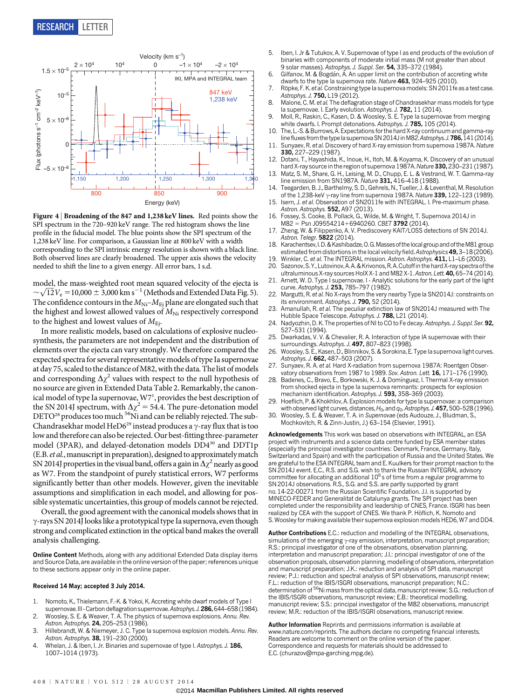

Figure 4 <sup>|</sup> Broadening of the 847 and 1,238 keV lines. Red points show the SPI spectrum in the 720–920 keV range. The red histogram shows the line profile in the fiducial model. The blue points show the SPI spectrum of the 1,238 keV line. For comparison, a Gaussian line at 800 keV with a width corresponding to the SPI intrinsic energy resolution is shown with a black line. Both observed lines are clearly broadened. The upper axis shows the velocity needed to shift the line to a given energy. All error bars, 1 s.d.

model, the mass-weighted root mean squared velocity of the ejecta is model, the mass-weighted root mean squared velocity of the ejecta is  $\sim\sqrt{12}V_{\rm e} = 10,000 \pm 3,000$  km s<sup>-1</sup> (Methods and Extended Data Fig. 5). The confidence contours in the  $M_{\text{Ni}}$ – $M_{\text{E}i}$  plane are elongated such that the highest and lowest allowed values of  $M_{\text{Ni}}$  respectively correspond to the highest and lowest values of  $M_{\text{E}i}$ .

In more realistic models, based on calculations of explosive nucleosynthesis, the parameters are not independent and the distribution of elements over the ejecta can vary strongly. We therefore compared the expected spectra for several representative models of type Ia supernovae at day 75, scaled to the distance of M82, with the data. The list of models and corresponding  $\Delta \chi^2$  values with respect to the null hypothesis of no source are given in Extended Data Table 2. Remarkably, the canonical model of type Ia supernovae,  $W7<sup>1</sup>$ , provides the best description of the SN 2014J spectrum, with  $\Delta \chi^2 = 54.4$ . The pure-detonation model DETO<sup>28</sup> produces too much <sup>56</sup>Ni and can be reliably rejected. The sub-Chandrasekhar model HeD6<sup>29</sup> instead produces a  $\gamma$ -ray flux that is too low and therefore can also be rejected. Our best-fitting three-parameter model (3PAR), and delayed-detonation models  $DD4^{30}$  and  $DDT1p$ (E.B. et al., manuscript in preparation), designed to approximately match SN 2014J properties in the visual band, offers a gain in  $\Delta\chi^2$  nearly as good as W7. From the standpoint of purely statistical errors, W7 performs significantly better than other models. However, given the inevitable assumptions and simplification in each model, and allowing for possible systematic uncertainties, this group of models cannot be rejected.

Overall, the good agreement with the canonical models shows that in  $\gamma$ -rays SN 2014J looks like a prototypical type Ia supernova, even though strong and complicated extinction in the optical band makes the overall analysis challenging.

Online Content Methods, along with any additional Extended Data display items and Source Data, are available in the [online version of the paper;](www.nature.com/doifinder/10.1038/nature13672) references unique to these sections appear only in the online paper.

#### Received 14 May; accepted 3 July 2014.

- 1. Nomoto, K., Thielemann, F.-K. & Yokoi, K. Accreting white dwarf models of Type I supernovae. III - Carbon deflagration supernovae. Astrophys. J. 286, 644-658 (1984).
- 2. Woosley, S. E. & Weaver, T. A. The physics of supernova explosions. Annu. Rev. Astron. Astrophys. 24, 205-253 (1986).
- 3. Hillebrandt, W. & Niemeyer, J. C. Type Ia supernova explosion models. Annu. Rev. Astron. Astrophys. **38,** 191–230 (2000).
- 4. Whelan, J. & Iben, I. Jr. Binaries and supernovae of type I. Astrophys. J. 186, 1007–1014 (1973).
- 5. Iben, I. Jr & Tutukov, A. V. Supernovae of type I as end products of the evolution of binaries with components of moderate initial mass (M not greater than about 9 solar masses). Astrophys. J. Suppl. Ser. 54, 335-372 (1984).
- 6. Gilfanov, M. & Bogdán, Á. An upper limit on the contribution of accreting white dwarfs to the type Ia supernova rate. Nature 463, 924–925 (2010).
- 7. Röpke, F. K. et al. Constraining type Ia supernova models: SN 2011fe as a test case. Astrophys. J. 750, L19 (2012).
- 8. Malone, C. M. et al. The deflagration stage of Chandrasekhar mass models for type In supernovae. I. Early evolution. Astrophys. J. 782, 11 (2014).
- 9. Moll, R., Raskin, C., Kasen, D. & Woosley, S. E. Type Ia supernovae from merging white dwarfs. I. Prompt detonations. Astrophys. J. 785, 105 (2014).
- 10. The, L.-S. & Burrows, A. Expectations for the hard X-ray continuum and gamma-ray line fluxes from the type la supernova SN 2014J in M82. Astrophys. J. 786, 141 (2014).
- 11. Sunyaev, R. et al. Discovery of hard X-ray emission from supernova 1987A. Nature 330, 227–229 (1987).
- 12. Dotani, T., Hayashida, K., Inoue, H., Itoh, M. & Koyama, K. Discovery of an unusual hard X-ray source in the region of supernova 1987A. Nature 330, 230-231 (1987).
- 13. Matz, S. M., Share, G. H., Leising, M. D., Chupp, E. L. & Vestrand, W. T. Gamma-ray line emission from SN1987A. Nature 331, 416–418 (1988).
- 14. Teegarden, B. J., Barthelmy, S. D., Gehrels, N., Tueller, J. & Leventhal, M. Resolution of the 1,238-keV  $\gamma$ -ray line from supernova 1987A. Nature 339, 122–123 (1989).
- Isern, J. et al. Observation of SN2011fe with INTEGRAL. I. Pre-maximum phase. Astron. Astrophys. 552, A97 (2013).
- 16. Fossey, S. Cooke, B. Pollack, G., Wilde, M. & Wright, T. Supernova 2014J in
- M82 = Psn J09554214+6940260. CBET 3792 (2014). Zheng, W. & Filippenko, A. V. Prediscovery KAIT/LOSS detections of SN 2014J. Astron. Telegr. 5822 (2014).
- 18. Karachentsev,I. D. &Kashibadze, O. G.Masses of thelocal group and of theM81 group estimated from distortions in the local velocity field. Astrophysics 49, 3-18 (2006).
- 19. Winkler, C. et al. The INTEGRAL mission. Astron. Astrophys. 411, L1-L6 (2003) Sazonov, S. Y., Lutovinov, A. A. & Krivonos, R. A. Cutoff in the hard X-ray spectra of the
- ultraluminous X-ray sources HoIX X-1 and M82 X-1. Astron. Lett. 40, 65–74 (2014). 21. Arnett, W. D. Type I supernovae. I - Analytic solutions for the early part of the light
- curve. Astrophys. J. 253, 785-797 (1982). 22. Margutti, R. et al. No X-rays from the very nearby Type Ia SN2014J: constraints on its environment. Astrophys. J. 790, 52 (2014).
- 23. Amanullah, R. et al. The peculiar extinction law of SN2014J measured with The Hubble Space Telescope. Astrophys. J. 788, L21 (2014).
- 24. Nadyozhin, D. K. The properties of NI to CO to Fe decay. Astrophys. J. Suppl. Ser. 92, 527–531 (1994).
- Dwarkadas, V. V. & Chevalier, R. A. Interaction of type IA supernovae with their surroundings. Astrophys. J. 497, 807-823 (1998).
- 26. Woosley, S. E., Kasen, D., Blinnikov, S. & Sorokina, E. Type Ia supernova light curves. Astrophys. J. 662, 487–503 (2007).
- Sunyaev, R. A. et al. Hard X-radiation from supernova 1987A: Roentgen Observatory observations from 1987 to 1989. Sov. Astron. Lett. 16, 171–176 (1990).
- 28. Badenes, C., Bravo, E., Borkowski, K. J. & Domínguez, I. Thermal X-ray emission from shocked ejecta in type Ia supernova remnants: prospects for explosion mechanism identification. Astrophys. J. 593, 358–369 (2003).
- 29. Hoeflich, P. & Khokhlov, A. Explosion models for type Ia supernovae: a comparison with observed light curves, distances,  $H_0$ , and  $q_0$ . Astrophys. J. 457, 500–528 (1996).
- 30. Woosley, S. E. & Weaver, T. A. in Supernovae (eds Audouze, J., Bludman, S., Mochkovitch, R. & Zinn-Justin, J.) 63–154 (Elsevier, 1991).

Acknowledgements This work was based on observations with INTEGRAL, an ESA project with instruments and a science data centre funded by ESA member states (especially the principal investigator countries: Denmark, France, Germany, Italy, Switzerland and Spain) and with the participation of Russia and the United States. We are grateful to the ESA INTEGRAL team and E. Kuulkers for their prompt reaction to the SN 2014J event. E.C., R.S. and S.G. wish to thank the Russian INTEGRAL advisory committee for allocating an additional  $10^6$  s of time from a regular programme to SN 2014J observations. R.S., S.G. and S.S. are partly supported by grant no. 14-22-00271 from the Russian Scientific Foundation. J.I. is supported by MINECO-FEDER and Generalitat de Catalunya grants. The SPI project has been completed under the responsibility and leadership of CNES, France. ISGRI has been realized by CEA with the support of CNES. We thank P. Höflich, K. Nomoto and S. Woosley for making available their supernova explosion models HED6, W7 and DD4.

Author Contributions E.C.: reduction and modelling of the INTEGRAL observations, simulations of the emerging  $\gamma$ -ray emission, interpretation, manuscript preparation; R.S.: principal investigator of one of the observations, observation planning, interpretation and manuscript preparation; J.I.: principal investigator of one of the observation proposals, observation planning, modelling of observations, interpretation and manuscript preparation; J.K.: reduction and analysis of SPI data, manuscript review; P.J.: reduction and spectral analysis of SPI observations, manuscript review; F.L.: reduction of the IBIS/ISGRI observations, manuscript preparation; N.C.:<br>determination of <sup>56</sup>Ni mass from the optical data, manuscript review; S.G.: reduction of the IBIS/ISGRI observations, manuscript review; E.B.: theoretical modelling, manuscript review; S.S.: principal investigator of the M82 observations, manuscript review; M.R.: reduction of the IBIS/ISGRI observations, manuscript review.

Author Information Reprints and permissions information is available at <www.nature.com/reprints>. The authors declare no competing financial interests. Readers are welcome to comment on the [online version of the paper.](www.nature.com/doifinder/10.1038/nature13672) Correspondence and requests for materials should be addressed to E.C. [\(churazov@mpa-garching.mpg.de\)](mailto:churazov@mpaarching.mpg.de).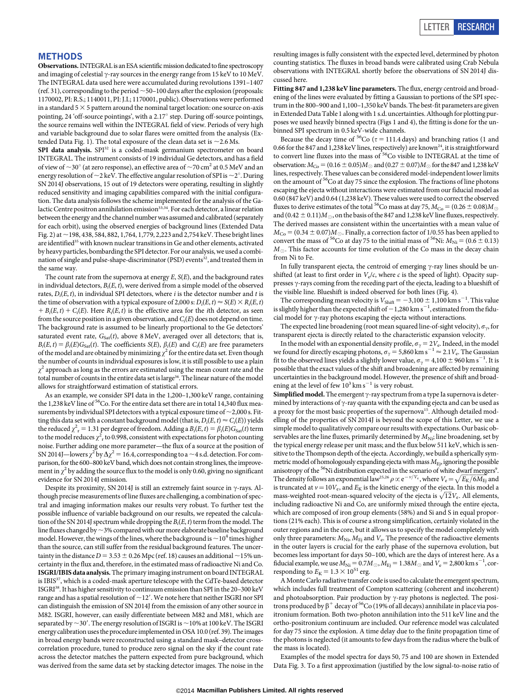#### METHODS

Observations. INTEGRAL is an ESA scientific mission dedicated to fine spectroscopy and imaging of celestial  $\gamma$ -ray sources in the energy range from 15 keV to 10 MeV. The INTEGRAL data used here were accumulated during revolutions 1391–1407 (ref. 31), corresponding to the period  $\sim$  50–100 days after the explosion (proposals: 1170002, PI: R.S.; 1140011, PI: J.I.; 1170001, public). Observations were performed in a standard  $5 \times 5$  pattern around the nominal target location: one source on-axis pointing, 24 'off-source pointings', with a 2.17 $\textdegree$  step. During off-source pointings, the source remains well within the INTEGRAL field of view. Periods of very high and variable background due to solar flares were omitted from the analysis (Extended Data Fig. 1). The total exposure of the clean data set is  $\sim$  2.6 Ms.

SPI data analysis. SPI<sup>32</sup> is a coded-mask germanium spectrometer on board INTEGRAL. The instrument consists of 19 individual Ge detectors, and has a field of view of  $\sim$ 30° (at zero response), an effective area of  $\sim$ 70 cm<sup>2</sup> at 0.5 MeV and an energy resolution of  $\sim$  2 keV. The effective angular resolution of SPI is  $\sim$  2°. During SN 2014J observations, 15 out of 19 detectors were operating, resulting in slightly reduced sensitivity and imaging capabilities compared with the initial configuration. The data analysis follows the scheme implemented for the analysis of the Galactic Centre positron annihilation emission<sup>33,34</sup>. For each detector, a linear relation between the energy and the channel number was assumed and calibrated (separately for each orbit), using the observed energies of background lines (Extended Data Fig. 2) at  $\sim$  198, 438, 584, 882, 1,764, 1,779, 2,223 and 2,754 keV. These bright lines are identified<sup>35</sup> with known nuclear transitions in Ge and other elements, activated by heavy particles, bombarding the SPI detector. For our analysis, we used a combination of single and pulse-shape-discriminator (PSD) events<sup>32</sup>, and treated them in the same way.

The count rate from the supernova at energy  $E$ ,  $S(E)$ , and the background rates in individual detectors,  $B_i(E, t)$ , were derived from a simple model of the observed rates,  $D_i(E, t)$ , in individual SPI detectors, where  $i$  is the detector number and  $t$  is the time of observation with a typical exposure of 2,000 s:  $D_i(E, t) \approx S(E) \times R_i(E, t)$  $+ B_i(E, t) + C_i(E)$ . Here  $R_i(E, t)$  is the effective area for the *i*th detector, as seen from the source position in a given observation, and  $C<sub>i</sub>(E)$  does not depend on time. The background rate is assumed to be linearly proportional to the Ge detectors' saturated event rate,  $G<sub>Sat</sub>(t)$ , above 8 MeV, averaged over all detectors; that is,  $B_i(E, t) = \beta_i(E)G_{Sat}(t)$ . The coefficients  $S(E)$ ,  $\beta_i(E)$  and  $C_i(E)$  are free parameters of the model and are obtained by minimizing  $\chi^2$  for the entire data set. Even though the number of counts in individual exposures is low, it is still possible to use a plain  $\chi^2$  approach as long as the errors are estimated using the mean count rate and the total number of counts in the entire data set is large<sup>36</sup>. The linear nature of the model allows for straightforward estimation of statistical errors.

As an example, we consider SPI data in the 1,200–1,300 keV range, containing the 1,238 keV line of  $56$ Co. For the entire data set there are in total 14,340 flux measurements by individual SPI detectors with a typical exposure time of  $\sim$  2,000 s. Fitting this data set with a constant background model (that is,  $D_i(E, t) \approx C_i(E)$ ) yields the reduced  $\chi^2$ <sub>r</sub> = 1.31 per degree of freedom. Adding a  $B_i(E, t) = \beta_i(E)G_{\text{Sat}}(t)$  term to the model reduces  $\chi^2$ <sub>r</sub> to 0.998, consistent with expectations for photon counting noise. Further adding one more parameter—the flux of a source at the position of SN 2014J—lowers  $\chi^2$  by  $\Delta \chi^2 = 16.4$ , corresponding to a  $\sim$  4 s.d. detection. For comparison, for the 600–800 keV band, which does not contain strong lines, the improvement in  $\chi^2$  by adding the source flux to the model is only 0.60, giving no significant evidence for SN 2014J emission.

Despite its proximity, SN 2014J is still an extremely faint source in  $\gamma$ -rays. Although precise measurements of line fluxes are challenging, a combination of spectral and imaging information makes our results very robust. To further test the possible influence of variable background on our results, we repeated the calculation of the SN 2014J spectrum while dropping the  $B_i(E, t)$  term from the model. The line fluxes changed by  $\sim$ 3% compared with our more elaborate baseline background model. However, the wings of the lines, where the background is  $\sim 10^4$  times higher than the source, can still suffer from the residual background features. The uncertainty in the distance  $D = 3.53 \pm 0.26$  Mpc (ref. 18) causes an additional ~15% uncertainty in the flux and, therefore, in the estimated mass of radioactive Ni and Co. ISGRI/IBIS data analysis. The primary imaging instrument on board INTEGRAL is IBIS<sup>37</sup>, which is a coded-mask aperture telescope with the CdTe-based detector ISGRI38. It has higher sensitivity to continuum emission than SPI in the 20–300 keV range and has a spatial resolution of  $\sim$  12'. We note here that neither ISGRI nor SPI can distinguish the emission of SN 2014J from the emission of any other source in M82. ISGRI, however, can easily differentiate between M82 and M81, which are separated by  $\sim$  30'. The energy resolution of ISGRI is  $\sim$  10% at 100 keV. The ISGRI energy calibration uses the procedure implemented in OSA 10.0 (ref. 39). The images in broad energy bands were reconstructed using a standard mask–detector crosscorrelation procedure, tuned to produce zero signal on the sky if the count rate across the detector matches the pattern expected from pure background, which was derived from the same data set by stacking detector images. The noise in the

resulting images is fully consistent with the expected level, determined by photon counting statistics. The fluxes in broad bands were calibrated using Crab Nebula observations with INTEGRAL shortly before the observations of SN 2014J discussed here.

Fitting 847 and 1,238 keV line parameters. The flux, energy centroid and broadening of the lines were evaluated by fitting a Gaussian to portions of the SPI spectrum in the 800–900 and 1,100–1,350 keV bands. The best-fit parameters are given in Extended Data Table 1 along with 1 s.d. uncertainties. Although for plotting purposes we used heavily binned spectra (Figs 1 and 4), the fitting is done for the unbinned SPI spectrum in 0.5 keV-wide channels.

Because the decay time of <sup>56</sup>Co ( $\tau$  = 111.4 days) and branching ratios (1 and 0.66 for the 847 and 1,238 keV lines, respectively) are known<sup>24</sup>, it is straightforward to convert line fluxes into the mass of <sup>56</sup>Co visible to INTEGRAL at the time of observation:  $M_{Co} = (0.16 \pm 0.05)M_{\odot}$  and  $(0.27 \pm 0.07)M_{\odot}$  for the 847 and 1,238 keV lines, respectively. These values can be considered model-independent lower limits on the amount of 56Co at day 75 since the explosion. The fractions of line photons escaping the ejecta without interactions were estimated from our fiducial model as 0.60 (847 keV) and 0.64 (1,238 keV). These values were used to correct the observed fluxes to derive estimates of the total  $^{56}\mathrm{Co}$  mass at day 75,  $M_\mathrm{Co} = (0.26 \pm 0.08) M_\odot$ and  $(0.42 \pm 0.11)M_{\odot}$ , on the basis of the 847 and 1,238 keV line fluxes, respectively. The derived masses are consistent within the uncertainties with a mean value of  $M_{\text{Co}} = (0.34 \pm 0.07)M_{\odot}$ . Finally, a correction factor of 1/0.55 has been applied to convert the mass of <sup>56</sup>Co at day 75 to the initial mass of <sup>56</sup>Ni:  $M_{\text{Ni}} = (0.6 \pm 0.13)$  $M_{\odot}$ . This factor accounts for time evolution of the Co mass in the decay chain from Ni to Fe.

In fully transparent ejecta, the centroid of emerging  $\gamma$ -ray lines should be unshifted (at least to first order in  $V_e/c$ , where c is the speed of light). Opacity suppresses  $\gamma$ -rays coming from the receding part of the ejecta, leading to a blueshift of the visible line. Blueshift is indeed observed for both lines (Fig. 4).

The corresponding mean velocity is  $V_{\text{Shift}} = -3,100 \pm 1,100 \text{ km s}^{-1}$ . This value is slightly higher than the expected shift of  $-1,280$  km s<sup>-1</sup>, estimated from the fiducial model for  $\gamma$ -ray photons escaping the ejecta without interactions.

The expected line broadening (root mean squared line-of-sight velocity),  $\sigma_{\gamma}$ , for transparent ejecta is directly related to the characteristic expansion velocity.

In the model with an exponential density profile,  $\sigma_{\gamma} = 2V_e$ . Indeed, in the model we found for directly escaping photons,  $\sigma_\gamma = 5{,}860\,\mathrm{km\,s^{-1}} \approx 2.1 V_\mathrm{e}$  . The Gaussian fit to the observed lines yields a slightly lower value,  $\sigma_\gamma = 4{,}100 \pm 960$  km s $^{-1}$  . It is possible that the exact values of the shift and broadening are affected by remaining uncertainties in the background model. However, the presence of shift and broadening at the level of few  $10^3$  km s<sup>-1</sup> is very robust.

Simplified model. The emergent  $\gamma$ -ray spectrum from a type Ia supernova is determined by interactions of  $\gamma$ -ray quanta with the expanding ejecta and can be used as a proxy for the most basic properties of the supernova<sup>15</sup>. Although detailed modelling of the properties of SN 2014J is beyond the scope of this Letter, we use a simple model to qualitatively compare our results with expectations. Our basic observables are the line fluxes, primarily determined by  $M_{\text{Ni}}$ ; line broadening, set by the typical energy release per unit mass; and the flux below 511 keV, which is sensitive to the Thompson depth of the ejecta. Accordingly, we build a spherically symmetric model of homologously expanding ejecta with mass  $M_{Ei}$ , ignoring the possible anisotropy of the <sup>56</sup>Ni distribution expected in the scenario of white dwarf mergers<sup>9</sup>. The density follows an exponential law<sup>25,26</sup>  $\rho \propto e^{-v/V_{\rm e}}$ , where  $V_{\rm e} = \sqrt{E_{\rm K}/6M_{\rm Ej}}$  and is truncated at  $v=10V_e$ , and  $E_K$  is the kinetic energy of the ejecta. In this model a is truncated at  $v = 10v_e$ , and  $E_K$  is the kinetic energy of the ejecta. In this model a mass-weighted root-mean-squared velocity of the ejecta is  $\sqrt{12}V_e$ . All elements, including radioactive Ni and Co, are uniformly mixed through the entire ejecta, which are composed of iron group elements (58%) and Si and S in equal proportions (21% each). This is of course a strong simplification, certainly violated in the outer regions and in the core, but it allows us to specify the model completely with only three parameters:  $M_{\rm Ni}$   $M_{\rm Ej}$  and  $V_{\rm e}$  . The presence of the radioactive elements in the outer layers is crucial for the early phase of the supernova evolution, but becomes less important for days 50–100, which are the days of interest here. As a fiducial example, we use  $M_{\rm Ni}=0.7M_\odot$  ,  $M_{\rm Ej}=1.38M_\odot$  and  $V_{\rm e}=2{,}800$  km s $^{-1}$ , corresponding to  $E_K = 1.3 \times 10^{51}$  erg.

AMonte Carlo radiative transfer code is used to calculate the emergent spectrum, which includes full treatment of Compton scattering (coherent and incoherent) and photoabsorption. Pair production by  $\gamma$ -ray photons is neglected. The positrons produced by  $\beta^+$  decay of <sup>56</sup>Co (19% of all decays) annihilate in place via positronium formation. Both two-photon annihilation into the 511 keV line and the ortho-positronium continuum are included. Our reference model was calculated for day 75 since the explosion. A time delay due to the finite propagation time of the photons is neglected (it amounts to few days from the radius where the bulk of the mass is located).

Examples of the model spectra for days 50, 75 and 100 are shown in Extended Data Fig. 3. To a first approximation (justified by the low signal-to-noise ratio of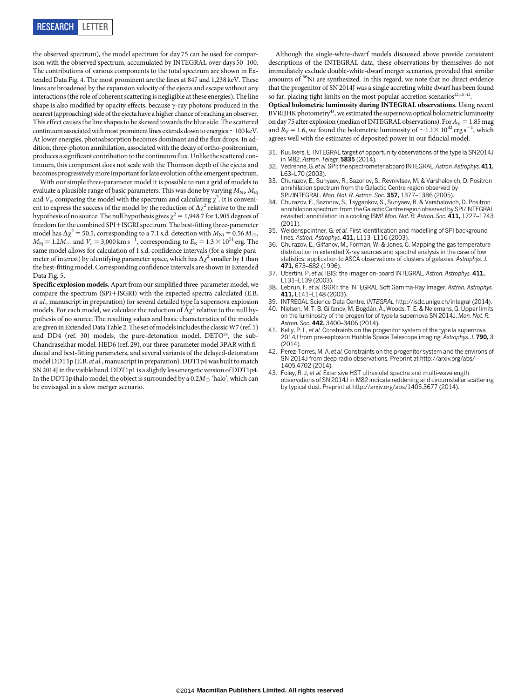the observed spectrum), the model spectrum for day 75 can be used for comparison with the observed spectrum, accumulated by INTEGRAL over days 50–100. The contributions of various components to the total spectrum are shown in Extended Data Fig. 4. The most prominent are the lines at 847 and 1,238 keV. These lines are broadened by the expansion velocity of the ejecta and escape without any interactions (the role of coherent scattering is negligible at these energies). The line shape is also modified by opacity effects, because  $\gamma$ -ray photons produced in the nearest (approaching) side of the ejecta have a higher chance of reaching an observer. This effect causes the line shapes to be skewed towards the blue side. The scattered continuum associated with most prominent lines extends down to energies  $\sim$  100 keV. At lower energies, photoabsorption becomes dominant and the flux drops. In addition, three-photon annihilation, associated with the decay of ortho-positronium, produces a significant contribution to the continuumflux. Unlike the scattered continuum, this component does not scale with the Thomson depth of the ejecta and becomes progressively more important for late evolution of the emergent spectrum.

With our simple three-parameter model it is possible to run a grid of models to evaluate a plausible range of basic parameters. This was done by varying  $M_{\text{Ni}}$ ,  $M_{\text{Ei}}$ and  $V_e$ , comparing the model with the spectrum and calculating  $\chi^2$ . It is convenient to express the success of the model by the reduction of  $\Delta \chi^2$  relative to the null hypothesis of no source. The null hypothesis gives  $\gamma^2 = 1,948.7$  for 1,905 degrees of freedom for the combined SPI+ISGRI spectrum. The best-fitting three-parameter model has  $\Delta\chi^2$  = 50.5, corresponding to a 7.1 s.d. detection with  $M_{\rm Ni}$  = 0.56  $M_\odot$ ,  $M_{\rm Ej}$  = 1.2 $M_{\odot}$  and  $V_{\rm e}$  = 3,000 km s<sup>-1</sup>, corresponding to  $E_{\rm K}$  = 1.3  $\times$  10<sup>51</sup> erg. The same model allows for calculation of 1 s.d. confidence intervals (for a single parameter of interest) by identifying parameter space, which has  $\Delta\chi^2$  smaller by  $1$  than the best-fitting model. Corresponding confidence intervals are shown in Extended Data Fig. 5.

Specific explosion models. Apart from our simplified three-parameter model, we compare the spectrum (SPI+ISGRI) with the expected spectra calculated (E.B. et al., manuscript in preparation) for several detailed type Ia supernova explosion models. For each model, we calculate the reduction of  $\Delta\chi^2$  relative to the null hypothesis of no source. The resulting values and basic characteristics of the models are given in Extended Data Table 2. The set of models includes the classic W7 (ref. 1) and DD4 (ref. 30) models, the pure-detonation model,  $DETO^{28}$ , the sub-Chandrasekhar model, HED6 (ref. 29), our three-parameter model 3PAR with fiducial and best-fitting parameters, and several variants of the delayed-detonation model DDT1p (E.B.et al., manuscript in preparation). DDT1p4 was built to match SN 2014J in the visible band. DDT1p1 is a slightly less energetic version of DDT1p4. In the DDT1p4halo model, the object is surrounded by a  $0.2M_{\odot}$  'halo', which can be envisaged in a slow merger scenario.

Although the single-white-dwarf models discussed above provide consistent descriptions of the INTEGRAL data, these observations by themselves do not immediately exclude double-white-dwarf merger scenarios, provided that similar amounts of 56Ni are synthesized. In this regard, we note that no direct evidence that the progenitor of SN 2014J was a single accreting white dwarf has been found so far, placing tight limits on the most popular accretion scenarios<sup>22,40-42</sup>.

Optical bolometric luminosity during INTEGRAL observations. Using recent BVRIJHK photometry<sup>43</sup>, we estimated the supernova optical bolometric luminosity on day 75 after explosion (median of INTEGRAL observations). For  $A_V = 1.85$  mag and  $R_V$  = 1.6, we found the bolometric luminosity of  $\sim$  1.1 $\times$  10<sup>42</sup> erg s<sup>-1</sup>, which agrees well with the estimates of deposited power in our fiducial model.

- 31. Kuulkers, E. INTEGRAL target of opportunity observations of the type Ia SN2014J in M82. Astron. Telegr. 5835 (2014).
- 32. Vedrenne, G. et al. SPI: the spectrometer aboard INTEGRAL. Astron. Astrophys. 411, L63–L70 (2003).
- 33. Churazov, E., Sunyaev, R., Sazonov, S., Revnivtsev, M. & Varshalovich, D. Positron annihilation spectrum from the Galactic Centre region observed by SPI/INTEGRAL. Mon. Not. R. Astron. Soc. 357, 1377–1386 (2005).
- 34. Churazov, E., Sazonov, S., Tsygankov, S., Sunyaev, R. & Varshalovich, D. Positron annihilation spectrum from the Galactic Centre region observed by SPI/INTEGRAL revisited: annihilation in a cooling ISM? Mon. Not. R. Astron. Soc. 411, 1727–1743 (2011).
- 35. Weidenspointner, G. et al. First identification and modelling of SPI background lines. Astron. Astrophys. 411, L113–L116 (2003).
- 36. Churazov, E., Gilfanov, M., Forman, W. & Jones, C. Mapping the gas temperature distribution in extended X-ray sources and spectral analysis in the case of low statistics: application to ASCA observations of clusters of galaxies. Astrophys. J. 471, 673–682 (1996).
- 37. Ubertini, P. et al. IBIS: the imager on-board INTEGRAL. Astron. Astrophys. 411, L131-L139 (2003)
- 38. Lebrun, F. et al. ISGRI: the INTEGRAL Soft Gamma-Ray Imager. Astron. Astrophys. 411, L141–L148 (2003).
- 39. INTREGAL Science Data Centre. INTEGRAL <http://isdc.unige.ch/integral> (2014). Nielsen, M. T. B. Gilfanov, M. Bogdán, Á., Woods, T. E. & Nelemans, G. Upper limits on the luminosity of the progenitor of type Ia supernova SN 2014J. Mon. Not. R. Astron. Soc. 442, 3400-3406 (2014).
- 41. Kelly, P. L, et al. Constraints on the progenitor system of the type la supernova 2014J from pre-explosion Hubble Space Telescope imaging. Astrophys. J. 790, 3 (2014).
- 42. Perez-Torres, M. A. et al. Constraints on the progenitor system and the environs of SN 2014J from deep radio observations. Preprint at [http://arxiv.org/abs/](http://arxiv.org/abs/1405.4702) [1405.4702](http://arxiv.org/abs/1405.4702) (2014).
- 43. Foley, R. J, et al. Extensive HST ultraviolet spectra and multi-wavelength observations of SN 2014J in M82 indicate reddening and circumstellar scattering by typical dust. Preprint at<http://arxiv.org/abs/1405.3677> (2014).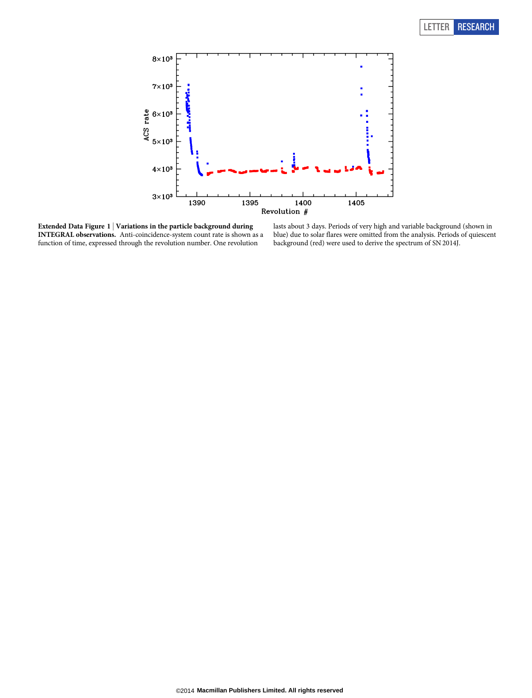

Extended Data Figure 1  $\vert$  Variations in the particle background during INTEGRAL observations. Anti-coincidence-system count rate is shown as a function of time, expressed through the revolution number. One revolution

lasts about 3 days. Periods of very high and variable background (shown in blue) due to solar flares were omitted from the analysis. Periods of quiescent background (red) were used to derive the spectrum of SN 2014J.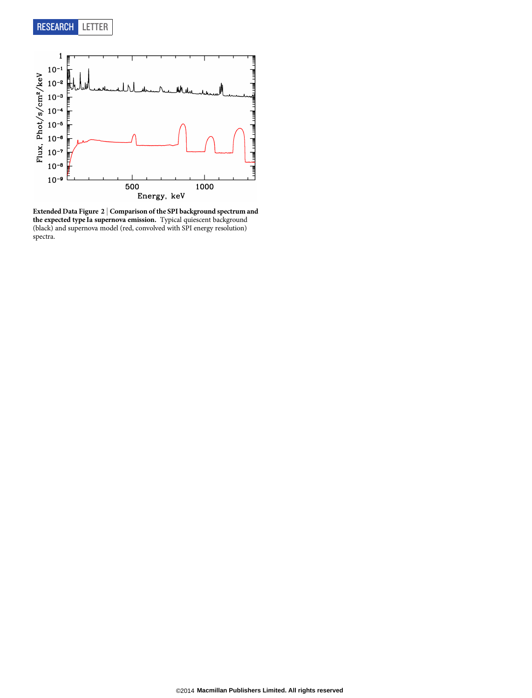

Extended Data Figure 2 <sup>|</sup> Comparison of the SPI background spectrum and the expected type Ia supernova emission. Typical quiescent background (black) and supernova model (red, convolved with SPI energy resolution) spectra.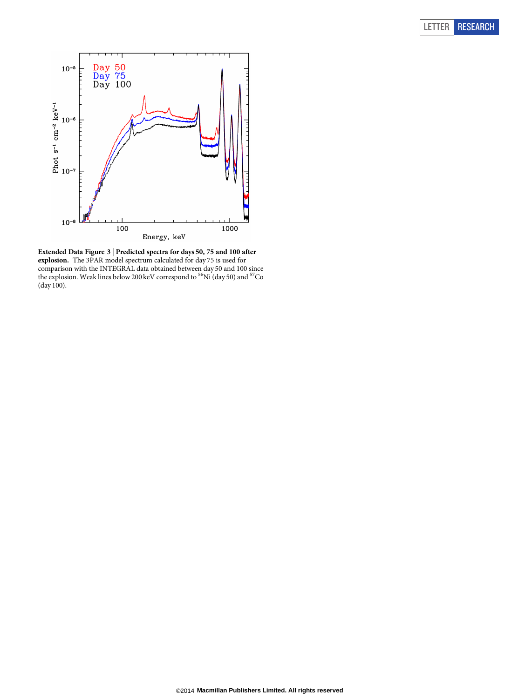

Extended Data Figure 3 <sup>|</sup> Predicted spectra for days 50, 75 and 100 after explosion. The 3PAR model spectrum calculated for day 75 is used for comparison with the INTEGRAL data obtained between day 50 and 100 since<br>the explosion. Weak lines below 200 keV correspond to <sup>56</sup>Ni (day 50) and <sup>57</sup>Co (day 100).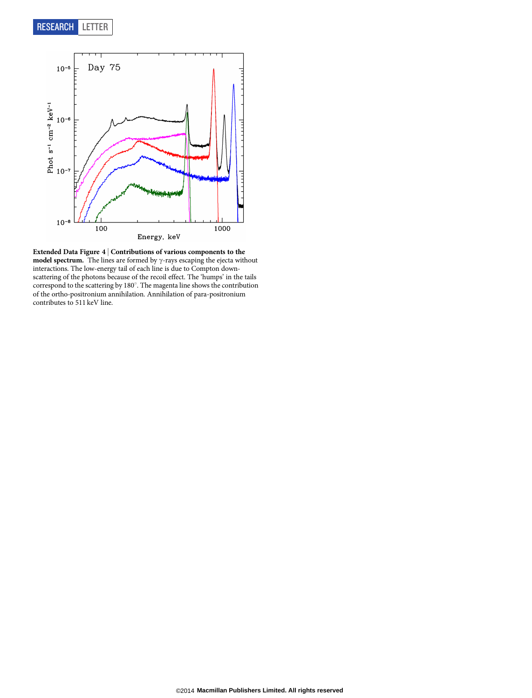

Extended Data Figure 4  $\vert$  Contributions of various components to the model spectrum. The lines are formed by  $\gamma$ -rays escaping the ejecta without interactions. The low-energy tail of each line is due to Compton downscattering of the photons because of the recoil effect. The 'humps' in the tails correspond to the scattering by 180°. The magenta line shows the contribution of the ortho-positronium annihilation. Annihilation of para-positronium contributes to 511 keV line.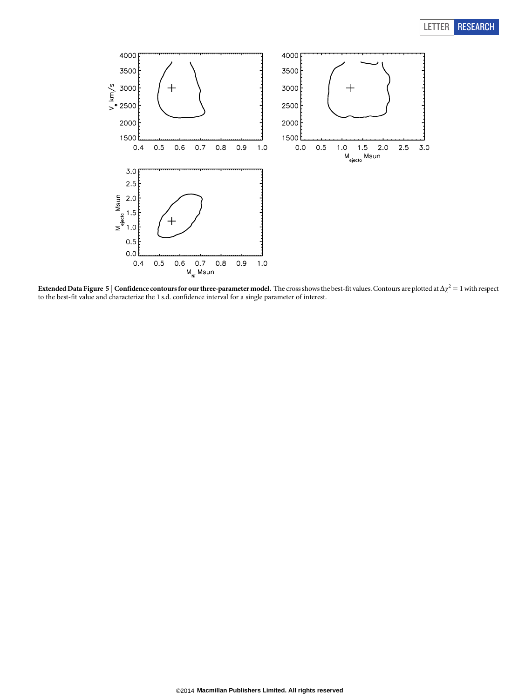## LETTER RESEARCH



Extended Data Figure 5 | Confidence contours for our three-parameter model. The cross shows the best-fit values. Contours are plotted at  $\Delta \chi^2 = 1$  with respect to the best-fit value and characterize the 1 s.d. confidence interval for a single parameter of interest.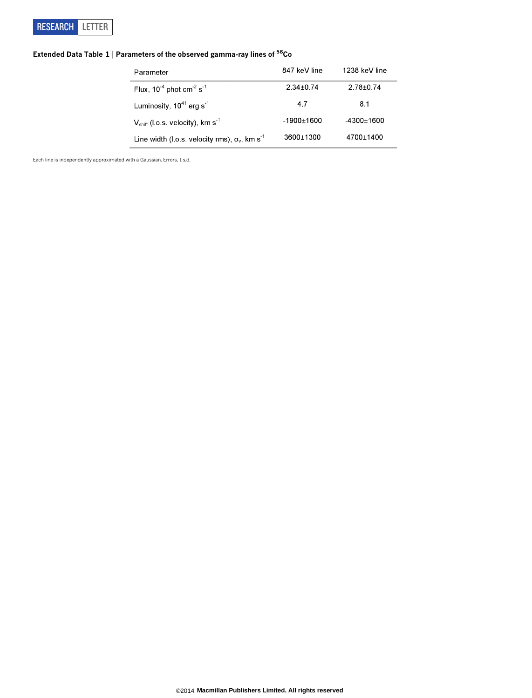

## Extended Data Table  $1 \mid$  Parameters of the observed gamma-ray lines of  $^{56}$ Co

| Parameter                                                         | 847 keV line    | 1238 keV line |
|-------------------------------------------------------------------|-----------------|---------------|
| Flux, $10^{-4}$ phot cm <sup>-2</sup> s <sup>-1</sup>             | $2.34 \pm 0.74$ | $2.78 + 0.74$ |
| Luminosity, $10^{41}$ erg s <sup>-1</sup>                         | 4.7             | 8.1           |
| $V_{\text{shift}}$ (l.o.s. velocity), km s <sup>-1</sup>          | $-1900+1600$    | $-4300+1600$  |
| Line width (I.o.s. velocity rms), $\sigma_v$ , km s <sup>-1</sup> | 3600+1300       | 4700+1400     |

Each line is independently approximated with a Gaussian. Errors, 1 s.d.